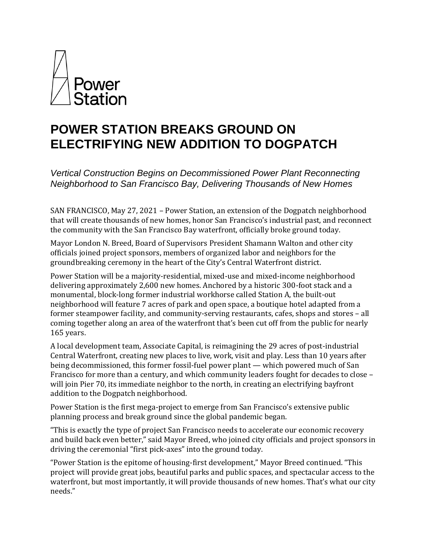

# **POWER STATION BREAKS GROUND ON ELECTRIFYING NEW ADDITION TO DOGPATCH**

*Vertical Construction Begins on Decommissioned Power Plant Reconnecting Neighborhood to San Francisco Bay, Delivering Thousands of New Homes*

SAN FRANCISCO, May 27, 2021 – Power Station, an extension of the Dogpatch neighborhood that will create thousands of new homes, honor San Francisco's industrial past, and reconnect the community with the San Francisco Bay waterfront, officially broke ground today.

Mayor London N. Breed, Board of Supervisors President Shamann Walton and other city officials joined project sponsors, members of organized labor and neighbors for the groundbreaking ceremony in the heart of the City's Central Waterfront district.

Power Station will be a majority-residential, mixed-use and mixed-income neighborhood delivering approximately 2,600 new homes. Anchored by a historic 300-foot stack and a monumental, block-long former industrial workhorse called Station A, the built-out neighborhood will feature 7 acres of park and open space, a boutique hotel adapted from a former steampower facility, and community-serving restaurants, cafes, shops and stores – all coming together along an area of the waterfront that's been cut off from the public for nearly 165 years.

A local development team, Associate Capital, is reimagining the 29 acres of post-industrial Central Waterfront, creating new places to live, work, visit and play. Less than 10 years after being decommissioned, this former fossil-fuel power plant — which powered much of San Francisco for more than a century, and which community leaders fought for decades to close – will join Pier 70, its immediate neighbor to the north, in creating an electrifying bayfront addition to the Dogpatch neighborhood.

Power Station is the first mega-project to emerge from San Francisco's extensive public planning process and break ground since the global pandemic began.

"This is exactly the type of project San Francisco needs to accelerate our economic recovery and build back even better," said Mayor Breed, who joined city officials and project sponsors in driving the ceremonial "first pick-axes" into the ground today.

"Power Station is the epitome of housing-first development," Mayor Breed continued. "This project will provide great jobs, beautiful parks and public spaces, and spectacular access to the waterfront, but most importantly, it will provide thousands of new homes. That's what our city needs."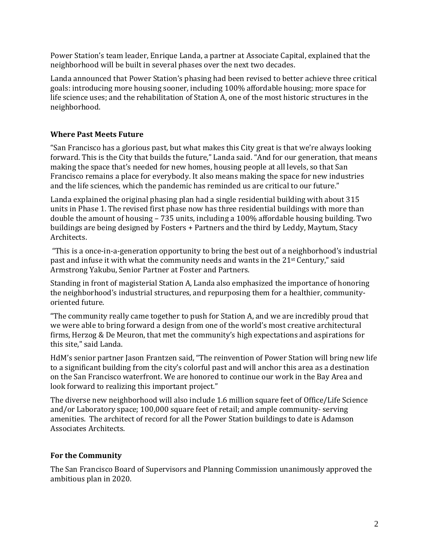Power Station's team leader, Enrique Landa, a partner at Associate Capital, explained that the neighborhood will be built in several phases over the next two decades.

Landa announced that Power Station's phasing had been revised to better achieve three critical goals: introducing more housing sooner, including 100% affordable housing; more space for life science uses; and the rehabilitation of Station A, one of the most historic structures in the neighborhood.

## **Where Past Meets Future**

"San Francisco has a glorious past, but what makes this City great is that we're always looking forward. This is the City that builds the future," Landa said. "And for our generation, that means making the space that's needed for new homes, housing people at all levels, so that San Francisco remains a place for everybody. It also means making the space for new industries and the life sciences, which the pandemic has reminded us are critical to our future."

Landa explained the original phasing plan had a single residential building with about 315 units in Phase 1. The revised first phase now has three residential buildings with more than double the amount of housing – 735 units, including a 100% affordable housing building. Two buildings are being designed by Fosters + Partners and the third by Leddy, Maytum, Stacy Architects.

"This is a once-in-a-generation opportunity to bring the best out of a neighborhood's industrial past and infuse it with what the community needs and wants in the 21st Century," said Armstrong Yakubu, Senior Partner at Foster and Partners.

Standing in front of magisterial Station A, Landa also emphasized the importance of honoring the neighborhood's industrial structures, and repurposing them for a healthier, communityoriented future.

"The community really came together to push for Station A, and we are incredibly proud that we were able to bring forward a design from one of the world's most creative architectural firms, Herzog & De Meuron, that met the community's high expectations and aspirations for this site," said Landa.

HdM's senior partner Jason Frantzen said, "The reinvention of Power Station will bring new life to a significant building from the city's colorful past and will anchor this area as a destination on the San Francisco waterfront. We are honored to continue our work in the Bay Area and look forward to realizing this important project."

The diverse new neighborhood will also include 1.6 million square feet of Office/Life Science and/or Laboratory space; 100,000 square feet of retail; and ample community- serving amenities. The architect of record for all the Power Station buildings to date is Adamson Associates Architects.

### **For the Community**

The San Francisco Board of Supervisors and Planning Commission unanimously approved the ambitious plan in 2020.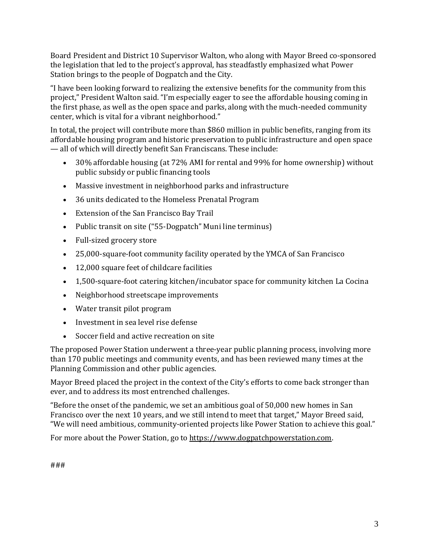Board President and District 10 Supervisor Walton, who along with Mayor Breed co-sponsored the legislation that led to the project's approval, has steadfastly emphasized what Power Station brings to the people of Dogpatch and the City.

"I have been looking forward to realizing the extensive benefits for the community from this project," President Walton said. "I'm especially eager to see the affordable housing coming in the first phase, as well as the open space and parks, along with the much-needed community center, which is vital for a vibrant neighborhood."

In total, the project will contribute more than \$860 million in public benefits, ranging from its affordable housing program and historic preservation to public infrastructure and open space — all of which will directly benefit San Franciscans. These include:

- 30% affordable housing (at 72% AMI for rental and 99% for home ownership) without public subsidy or public financing tools
- Massive investment in neighborhood parks and infrastructure
- 36 units dedicated to the Homeless Prenatal Program
- Extension of the San Francisco Bay Trail
- Public transit on site ("55-Dogpatch" Muni line terminus)
- Full-sized grocery store
- 25,000-square-foot community facility operated by the YMCA of San Francisco
- 12,000 square feet of childcare facilities
- 1,500-square-foot catering kitchen/incubator space for community kitchen La Cocina
- Neighborhood streetscape improvements
- Water transit pilot program
- Investment in sea level rise defense
- Soccer field and active recreation on site

The proposed Power Station underwent a three-year public planning process, involving more than 170 public meetings and community events, and has been reviewed many times at the Planning Commission and other public agencies.

Mayor Breed placed the project in the context of the City's efforts to come back stronger than ever, and to address its most entrenched challenges.

"Before the onset of the pandemic, we set an ambitious goal of 50,000 new homes in San Francisco over the next 10 years, and we still intend to meet that target," Mayor Breed said, "We will need ambitious, community-oriented projects like Power Station to achieve this goal."

For more about the Power Station, go to [https://www.dogpatchpowerstation.com.](https://www.dogpatchpowerstation.com/)

###